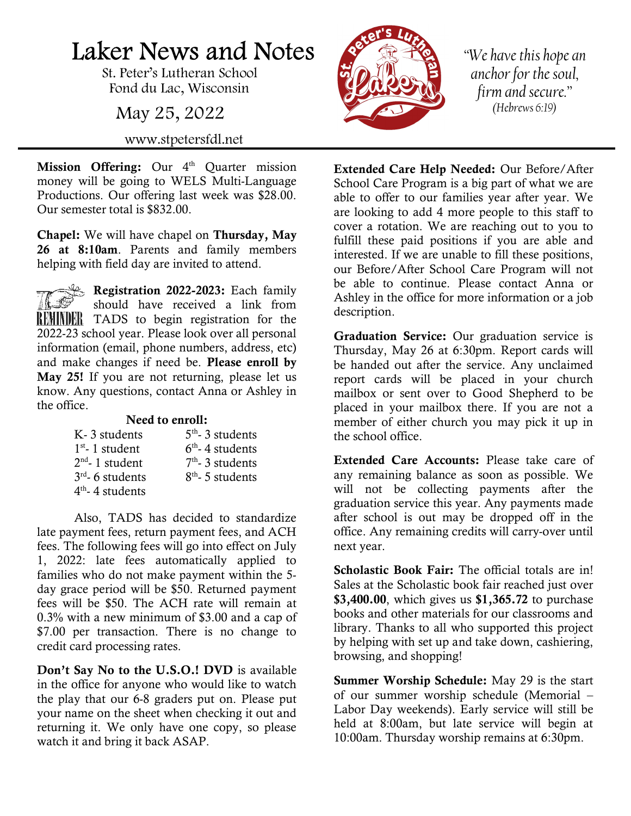## Laker News and Notes

St. Peter's Lutheran School Fond du Lac, Wisconsin

May 25, 2022

www.stpetersfdl.net

Mission Offering: Our 4<sup>th</sup> Quarter mission money will be going to WELS Multi-Language Productions. Our offering last week was \$28.00. Our semester total is \$832.00.

Chapel: We will have chapel on Thursday, May 26 at 8:10am. Parents and family members helping with field day are invited to attend.

Registration 2022-2023: Each family should have received a link from REMINDER TADS to begin registration for the 2022-23 school year. Please look over all personal information (email, phone numbers, address, etc) and make changes if need be. Please enroll by May 25! If you are not returning, please let us know. Any questions, contact Anna or Ashley in the office.

## Need to enroll:

| K-3 students       | $5th$ - 3 students |
|--------------------|--------------------|
| $1st$ - 1 student  | $6th$ - 4 students |
| $2nd$ - 1 student  | $7th$ - 3 students |
| $3rd$ - 6 students | $8th$ - 5 students |
| $4th$ - 4 students |                    |

Also, TADS has decided to standardize late payment fees, return payment fees, and ACH fees. The following fees will go into effect on July 1, 2022: late fees automatically applied to families who do not make payment within the 5 day grace period will be \$50. Returned payment fees will be \$50. The ACH rate will remain at 0.3% with a new minimum of \$3.00 and a cap of \$7.00 per transaction. There is no change to credit card processing rates.

Don't Say No to the U.S.O.! DVD is available in the office for anyone who would like to watch the play that our 6-8 graders put on. Please put your name on the sheet when checking it out and returning it. We only have one copy, so please watch it and bring it back ASAP.



"We have this hope an anchor for the soul, firm and secure." (Hebrews 6:19)

Extended Care Help Needed: Our Before/After School Care Program is a big part of what we are able to offer to our families year after year. We are looking to add 4 more people to this staff to cover a rotation. We are reaching out to you to fulfill these paid positions if you are able and interested. If we are unable to fill these positions, our Before/After School Care Program will not be able to continue. Please contact Anna or Ashley in the office for more information or a job description.

Graduation Service: Our graduation service is Thursday, May 26 at 6:30pm. Report cards will be handed out after the service. Any unclaimed report cards will be placed in your church mailbox or sent over to Good Shepherd to be placed in your mailbox there. If you are not a member of either church you may pick it up in the school office.

Extended Care Accounts: Please take care of any remaining balance as soon as possible. We will not be collecting payments after the graduation service this year. Any payments made after school is out may be dropped off in the office. Any remaining credits will carry-over until next year.

Scholastic Book Fair: The official totals are in! Sales at the Scholastic book fair reached just over \$3,400.00, which gives us \$1,365.72 to purchase books and other materials for our classrooms and library. Thanks to all who supported this project by helping with set up and take down, cashiering, browsing, and shopping!

Summer Worship Schedule: May 29 is the start of our summer worship schedule (Memorial – Labor Day weekends). Early service will still be held at 8:00am, but late service will begin at 10:00am. Thursday worship remains at 6:30pm.